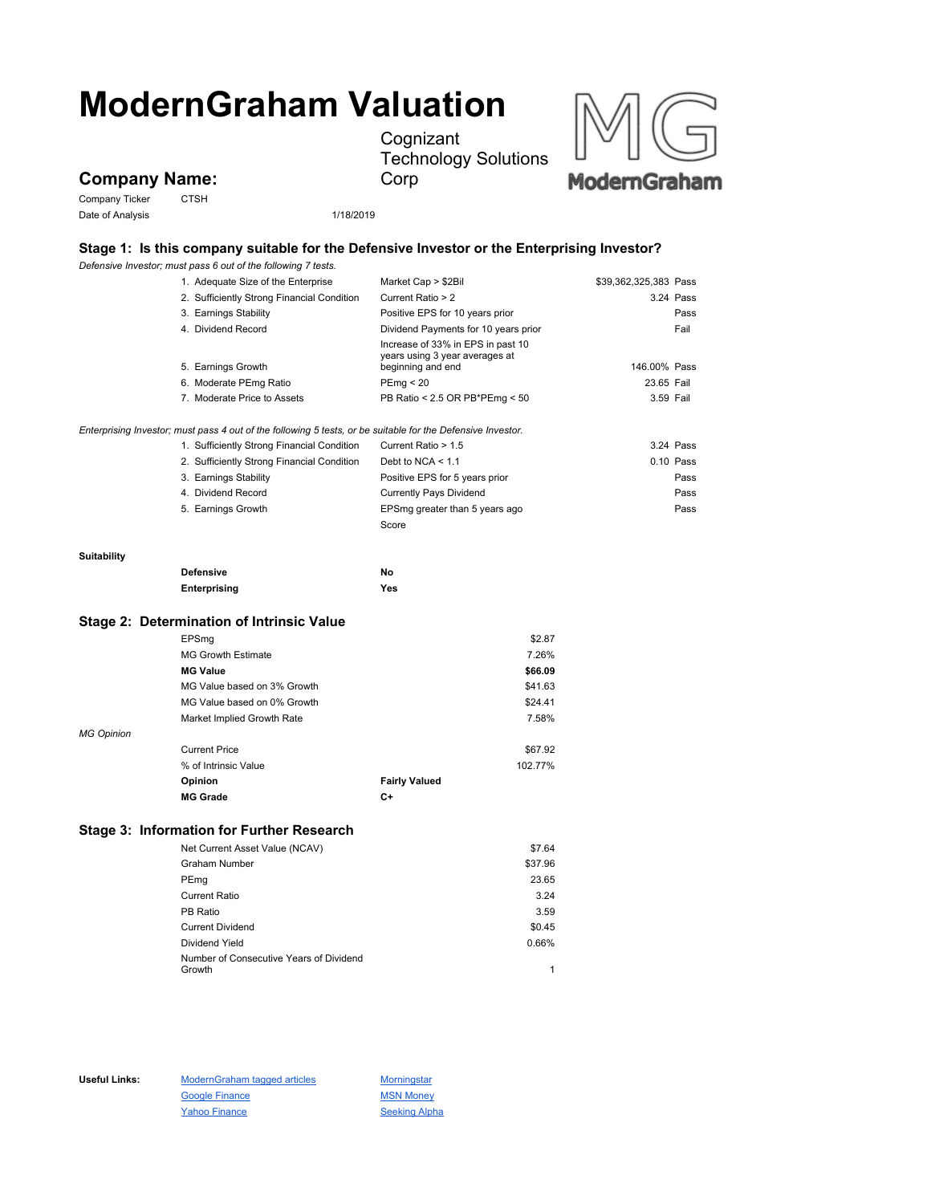# **ModernGraham Valuation**

**Cognizant** Technology Solutions Corp



## **Company Name:**

Company Ticker CTSH Date of Analysis 2001 1/18/2019

### **Stage 1: Is this company suitable for the Defensive Investor or the Enterprising Investor?**

*Defensive Investor; must pass 6 out of the following 7 tests.*

|                                                                                                             | 1. Adequate Size of the Enterprise         | Market Cap > \$2Bil                                                                      | \$39,362,325,383 Pass |  |  |
|-------------------------------------------------------------------------------------------------------------|--------------------------------------------|------------------------------------------------------------------------------------------|-----------------------|--|--|
|                                                                                                             | 2. Sufficiently Strong Financial Condition | Current Ratio > 2                                                                        | 3.24 Pass             |  |  |
|                                                                                                             | 3. Earnings Stability                      | Positive EPS for 10 years prior                                                          | Pass                  |  |  |
|                                                                                                             | 4. Dividend Record                         | Dividend Payments for 10 years prior                                                     | Fail                  |  |  |
|                                                                                                             | 5. Earnings Growth                         | Increase of 33% in EPS in past 10<br>years using 3 year averages at<br>beginning and end | 146.00% Pass          |  |  |
|                                                                                                             | 6. Moderate PEmg Ratio                     | PEmg < 20                                                                                | 23.65 Fail            |  |  |
|                                                                                                             | 7. Moderate Price to Assets                | PB Ratio < 2.5 OR PB*PEmg < 50                                                           | 3.59 Fail             |  |  |
| Enterprising Investor; must pass 4 out of the following 5 tests, or be suitable for the Defensive Investor. |                                            |                                                                                          |                       |  |  |
|                                                                                                             | 1. Sufficiently Strong Financial Condition | Current Ratio > 1.5                                                                      | 3.24 Pass             |  |  |
|                                                                                                             | 2. Sufficiently Strong Financial Condition | Debt to $NCA < 1.1$                                                                      | 0.10 Pass             |  |  |
|                                                                                                             | 3. Earnings Stability                      | Positive EPS for 5 years prior                                                           | Pass                  |  |  |
|                                                                                                             | 4. Dividend Record                         | <b>Currently Pays Dividend</b>                                                           | Pass                  |  |  |
|                                                                                                             | 5. Earnings Growth                         | EPSmg greater than 5 years ago                                                           | Pass                  |  |  |
|                                                                                                             |                                            | Score                                                                                    |                       |  |  |
| Suitability                                                                                                 |                                            |                                                                                          |                       |  |  |
|                                                                                                             | <b>Defensive</b>                           | No                                                                                       |                       |  |  |
|                                                                                                             | Enterprising                               | Yes                                                                                      |                       |  |  |
| <b>Stage 2: Determination of Intrinsic Value</b>                                                            |                                            |                                                                                          |                       |  |  |
|                                                                                                             | EPSmg                                      | \$2.87                                                                                   |                       |  |  |
|                                                                                                             | <b>MG Growth Estimate</b>                  | 7.26%                                                                                    |                       |  |  |
|                                                                                                             | <b>MG Value</b>                            | \$66.09                                                                                  |                       |  |  |
|                                                                                                             | MG Value based on 3% Growth                | \$41.63                                                                                  |                       |  |  |
|                                                                                                             | MG Value based on 0% Growth                | \$24.41                                                                                  |                       |  |  |
|                                                                                                             | Market Implied Growth Rate                 | 7.58%                                                                                    |                       |  |  |
| <b>MG Opinion</b>                                                                                           |                                            |                                                                                          |                       |  |  |
|                                                                                                             | <b>Current Price</b>                       | \$67.92                                                                                  |                       |  |  |
|                                                                                                             | % of Intrinsic Value                       | 102.77%                                                                                  |                       |  |  |
|                                                                                                             | Opinion                                    | <b>Fairly Valued</b>                                                                     |                       |  |  |
|                                                                                                             | <b>MG Grade</b>                            | C+                                                                                       |                       |  |  |
|                                                                                                             | Stage 3: Information for Further Research  |                                                                                          |                       |  |  |
|                                                                                                             | Net Current Asset Value (NCAV)             | \$7.64                                                                                   |                       |  |  |
|                                                                                                             | <b>Graham Number</b>                       | \$37.96                                                                                  |                       |  |  |
|                                                                                                             | PEmg                                       | 23.65                                                                                    |                       |  |  |
|                                                                                                             | <b>Current Ratio</b>                       | 3.24                                                                                     |                       |  |  |
|                                                                                                             | PB Ratio                                   | 3.59                                                                                     |                       |  |  |

Current Dividend \$0.45 Dividend Yield 0.66% Number of Consecutive Years of Dividend Growth 1

Useful Links: ModernGraham tagged articles Morningstar Google Finance MSN Money Yahoo Finance Seeking Alpha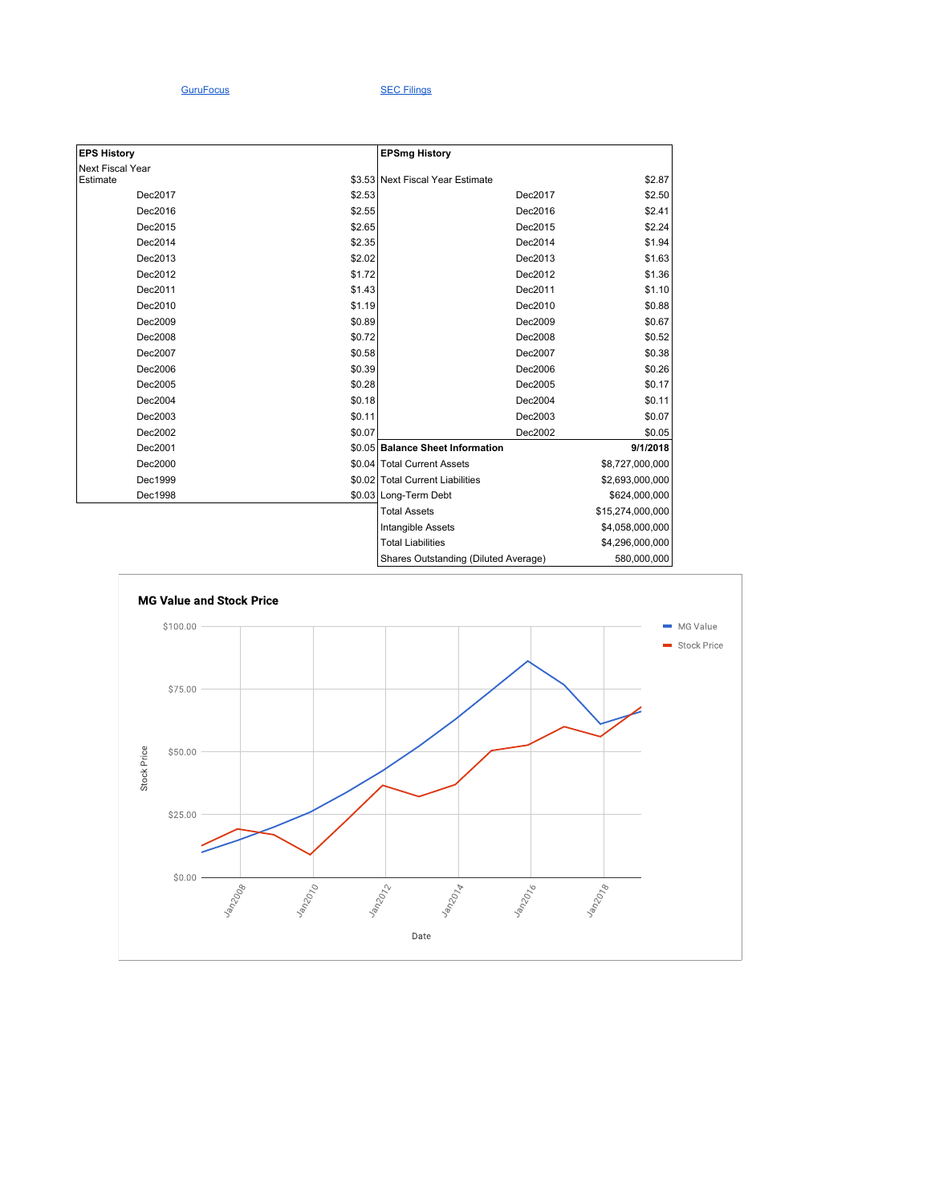#### GuruFocus SEC Filings

| <b>EPS History</b> |        | <b>EPSmg History</b>                 |                  |
|--------------------|--------|--------------------------------------|------------------|
| Next Fiscal Year   |        |                                      |                  |
| Estimate           |        | \$3.53 Next Fiscal Year Estimate     | \$2.87           |
| Dec2017            | \$2.53 | Dec2017                              | \$2.50           |
| Dec2016            | \$2.55 | Dec2016                              | \$2.41           |
| Dec2015            | \$2.65 | Dec2015                              | \$2.24           |
| Dec2014            | \$2.35 | Dec2014                              | \$1.94           |
| Dec2013            | \$2.02 | Dec2013                              | \$1.63           |
| Dec2012            | \$1.72 | Dec2012                              | \$1.36           |
| Dec2011            | \$1.43 | Dec2011                              | \$1.10           |
| Dec2010            | \$1.19 | Dec2010                              | \$0.88           |
| Dec2009            | \$0.89 | Dec2009                              | \$0.67           |
| Dec2008            | \$0.72 | Dec2008                              | \$0.52           |
| Dec2007            | \$0.58 | Dec2007                              | \$0.38           |
| Dec2006            | \$0.39 | Dec2006                              | \$0.26           |
| Dec2005            | \$0.28 | Dec2005                              | \$0.17           |
| Dec2004            | \$0.18 | Dec2004                              | \$0.11           |
| Dec2003            | \$0.11 | Dec2003                              | \$0.07           |
| Dec2002            | \$0.07 | Dec2002                              | \$0.05           |
| Dec2001            |        | \$0.05 Balance Sheet Information     | 9/1/2018         |
| Dec2000            |        | \$0.04 Total Current Assets          | \$8,727,000,000  |
| Dec1999            |        | \$0.02 Total Current Liabilities     | \$2,693,000,000  |
| Dec1998            |        | \$0.03 Long-Term Debt                | \$624,000,000    |
|                    |        | <b>Total Assets</b>                  | \$15,274,000,000 |
|                    |        | Intangible Assets                    | \$4,058,000,000  |
|                    |        | <b>Total Liabilities</b>             | \$4,296,000,000  |
|                    |        | Shares Outstanding (Diluted Average) | 580,000,000      |